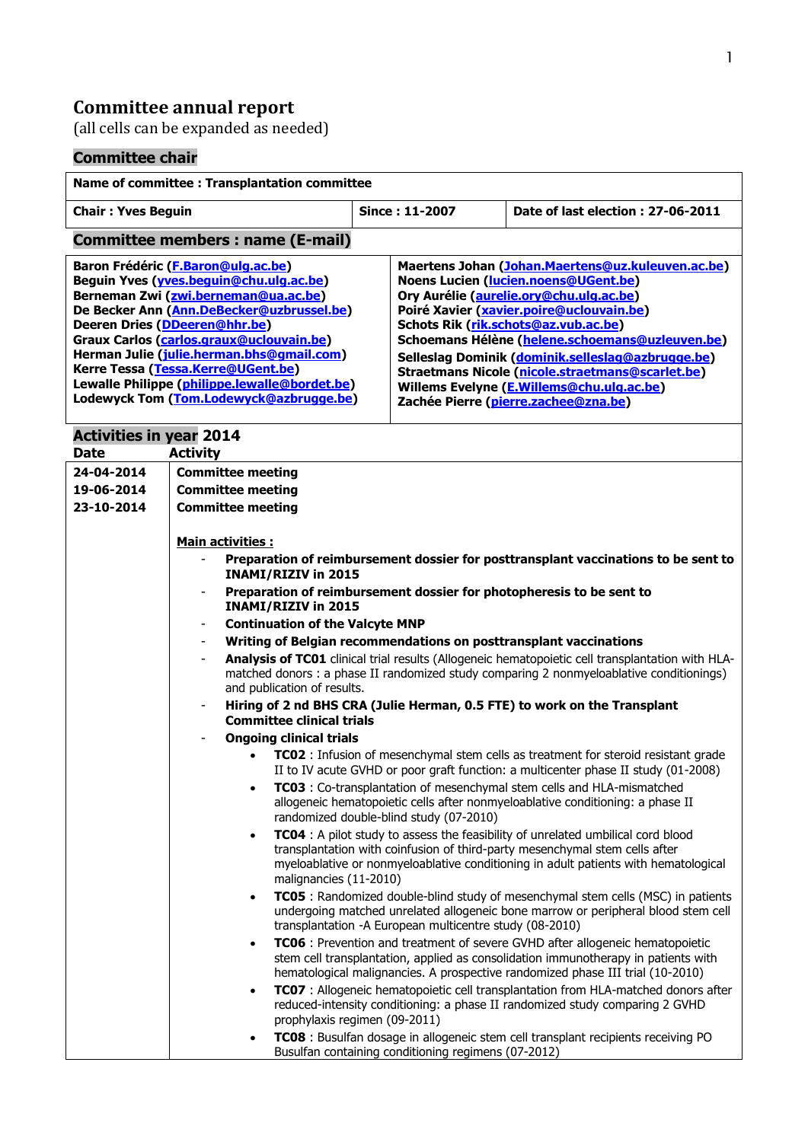### **Committee annual report**

(all cells can be expanded as needed)

## **Committee chair**